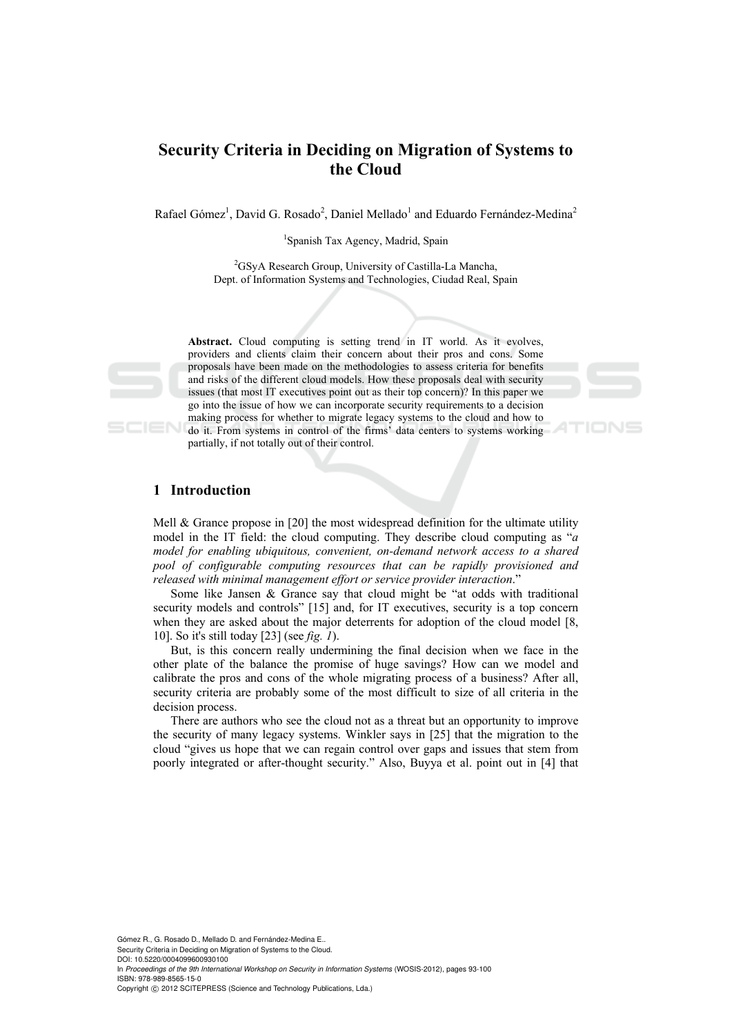# **Security Criteria in Deciding on Migration of Systems to the Cloud**

Rafael Gómez<sup>1</sup>, David G. Rosado<sup>2</sup>, Daniel Mellado<sup>1</sup> and Eduardo Fernández-Medina<sup>2</sup>

1 Spanish Tax Agency, Madrid, Spain

2 GSyA Research Group, University of Castilla-La Mancha, Dept. of Information Systems and Technologies, Ciudad Real, Spain

Abstract. Cloud computing is setting trend in IT world. As it evolves, providers and clients claim their concern about their pros and cons. Some proposals have been made on the methodologies to assess criteria for benefits and risks of the different cloud models. How these proposals deal with security issues (that most IT executives point out as their top concern)? In this paper we go into the issue of how we can incorporate security requirements to a decision making process for whether to migrate legacy systems to the cloud and how to do it. From systems in control of the firms' data centers to systems working partially, if not totally out of their control.

4TIONS

# **1 Introduction**

Mell & Grance propose in [20] the most widespread definition for the ultimate utility model in the IT field: the cloud computing. They describe cloud computing as "*a model for enabling ubiquitous, convenient, on-demand network access to a shared pool of configurable computing resources that can be rapidly provisioned and released with minimal management effort or service provider interaction*."

Some like Jansen & Grance say that cloud might be "at odds with traditional security models and controls" [15] and, for IT executives, security is a top concern when they are asked about the major deterrents for adoption of the cloud model [8, 10]. So it's still today [23] (see *fig. 1*).

But, is this concern really undermining the final decision when we face in the other plate of the balance the promise of huge savings? How can we model and calibrate the pros and cons of the whole migrating process of a business? After all, security criteria are probably some of the most difficult to size of all criteria in the decision process.

There are authors who see the cloud not as a threat but an opportunity to improve the security of many legacy systems. Winkler says in [25] that the migration to the cloud "gives us hope that we can regain control over gaps and issues that stem from poorly integrated or after-thought security." Also, Buyya et al. point out in [4] that

Gómez R., G. Rosado D., Mellado D. and Fernández-Medina E.. Security Criteria in Deciding on Migration of Systems to the Cloud.

DOI: 10.5220/0004099600930100

In *Proceedings of the 9th International Workshop on Security in Information Systems* (WOSIS-2012), pages 93-100 ISBN: 978-989-8565-15-0

Copyright © 2012 SCITEPRESS (Science and Technology Publications, Lda.)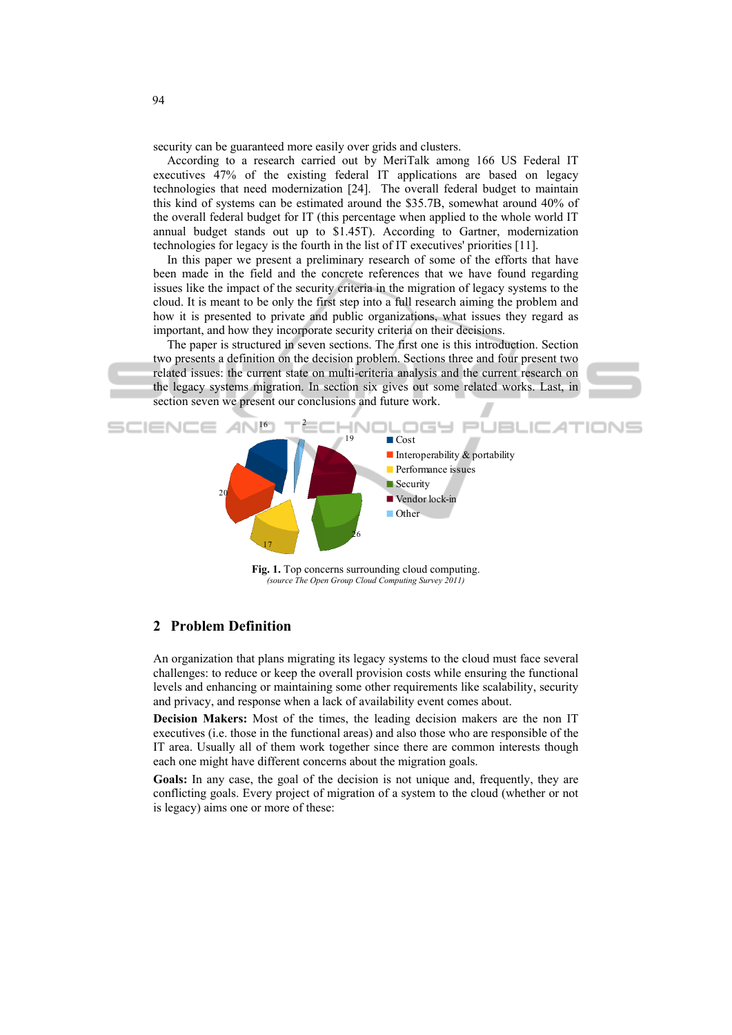security can be guaranteed more easily over grids and clusters.

According to a research carried out by MeriTalk among 166 US Federal IT executives 47% of the existing federal IT applications are based on legacy technologies that need modernization [24]. The overall federal budget to maintain this kind of systems can be estimated around the \$35.7B, somewhat around 40% of the overall federal budget for IT (this percentage when applied to the whole world IT annual budget stands out up to \$1.45T). According to Gartner, modernization technologies for legacy is the fourth in the list of IT executives' priorities [11].

In this paper we present a preliminary research of some of the efforts that have been made in the field and the concrete references that we have found regarding issues like the impact of the security criteria in the migration of legacy systems to the cloud. It is meant to be only the first step into a full research aiming the problem and how it is presented to private and public organizations, what issues they regard as important, and how they incorporate security criteria on their decisions.

The paper is structured in seven sections. The first one is this introduction. Section two presents a definition on the decision problem. Sections three and four present two related issues: the current state on multi-criteria analysis and the current research on the legacy systems migration. In section six gives out some related works. Last, in section seven we present our conclusions and future work.



Fig. 1. Top concerns surrounding cloud computing. *(source The Open Group Cloud Computing Survey 2011)* 

# **2 Problem Definition**

An organization that plans migrating its legacy systems to the cloud must face several challenges: to reduce or keep the overall provision costs while ensuring the functional levels and enhancing or maintaining some other requirements like scalability, security and privacy, and response when a lack of availability event comes about.

**Decision Makers:** Most of the times, the leading decision makers are the non IT executives (i.e. those in the functional areas) and also those who are responsible of the IT area. Usually all of them work together since there are common interests though each one might have different concerns about the migration goals.

**Goals:** In any case, the goal of the decision is not unique and, frequently, they are conflicting goals. Every project of migration of a system to the cloud (whether or not is legacy) aims one or more of these: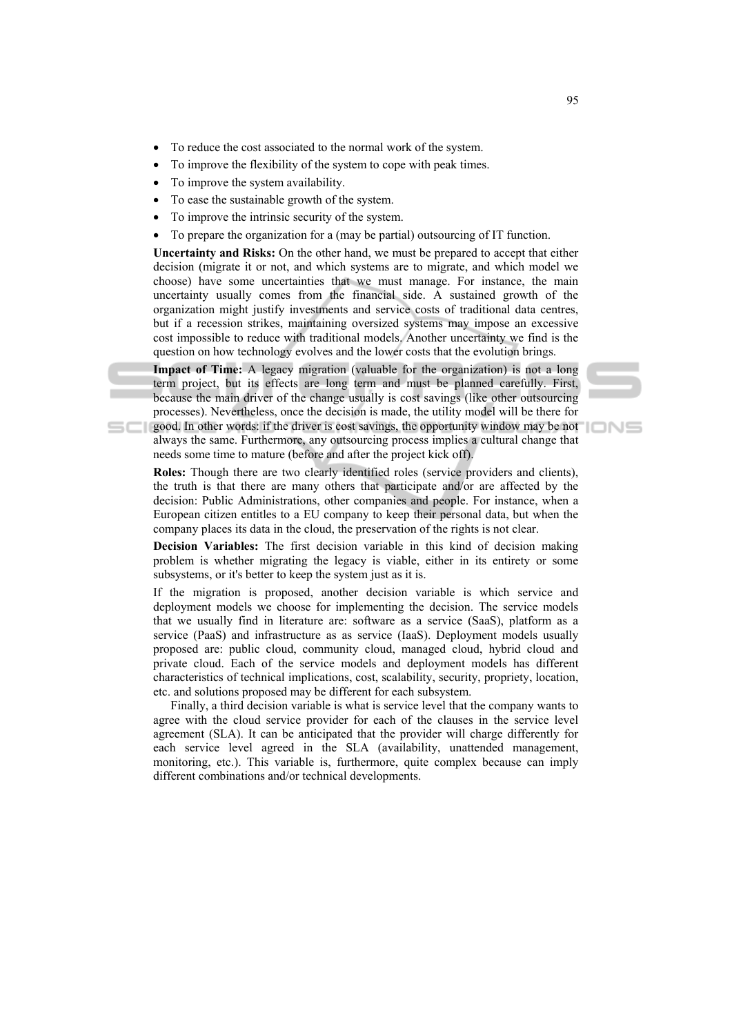- To reduce the cost associated to the normal work of the system.
- To improve the flexibility of the system to cope with peak times.
- To improve the system availability.
- To ease the sustainable growth of the system.
- To improve the intrinsic security of the system.
- To prepare the organization for a (may be partial) outsourcing of IT function.

**Uncertainty and Risks:** On the other hand, we must be prepared to accept that either decision (migrate it or not, and which systems are to migrate, and which model we choose) have some uncertainties that we must manage. For instance, the main uncertainty usually comes from the financial side. A sustained growth of the organization might justify investments and service costs of traditional data centres, but if a recession strikes, maintaining oversized systems may impose an excessive cost impossible to reduce with traditional models. Another uncertainty we find is the question on how technology evolves and the lower costs that the evolution brings.

**Impact of Time:** A legacy migration (valuable for the organization) is not a long term project, but its effects are long term and must be planned carefully. First, because the main driver of the change usually is cost savings (like other outsourcing processes). Nevertheless, once the decision is made, the utility model will be there for

good. In other words: if the driver is cost savings, the opportunity window may be not always the same. Furthermore, any outsourcing process implies a cultural change that needs some time to mature (before and after the project kick off).

**Roles:** Though there are two clearly identified roles (service providers and clients), the truth is that there are many others that participate and/or are affected by the decision: Public Administrations, other companies and people. For instance, when a European citizen entitles to a EU company to keep their personal data, but when the company places its data in the cloud, the preservation of the rights is not clear.

**Decision Variables:** The first decision variable in this kind of decision making problem is whether migrating the legacy is viable, either in its entirety or some subsystems, or it's better to keep the system just as it is.

If the migration is proposed, another decision variable is which service and deployment models we choose for implementing the decision. The service models that we usually find in literature are: software as a service (SaaS), platform as a service (PaaS) and infrastructure as as service (IaaS). Deployment models usually proposed are: public cloud, community cloud, managed cloud, hybrid cloud and private cloud. Each of the service models and deployment models has different characteristics of technical implications, cost, scalability, security, propriety, location, etc. and solutions proposed may be different for each subsystem.

Finally, a third decision variable is what is service level that the company wants to agree with the cloud service provider for each of the clauses in the service level agreement (SLA). It can be anticipated that the provider will charge differently for each service level agreed in the SLA (availability, unattended management, monitoring, etc.). This variable is, furthermore, quite complex because can imply different combinations and/or technical developments.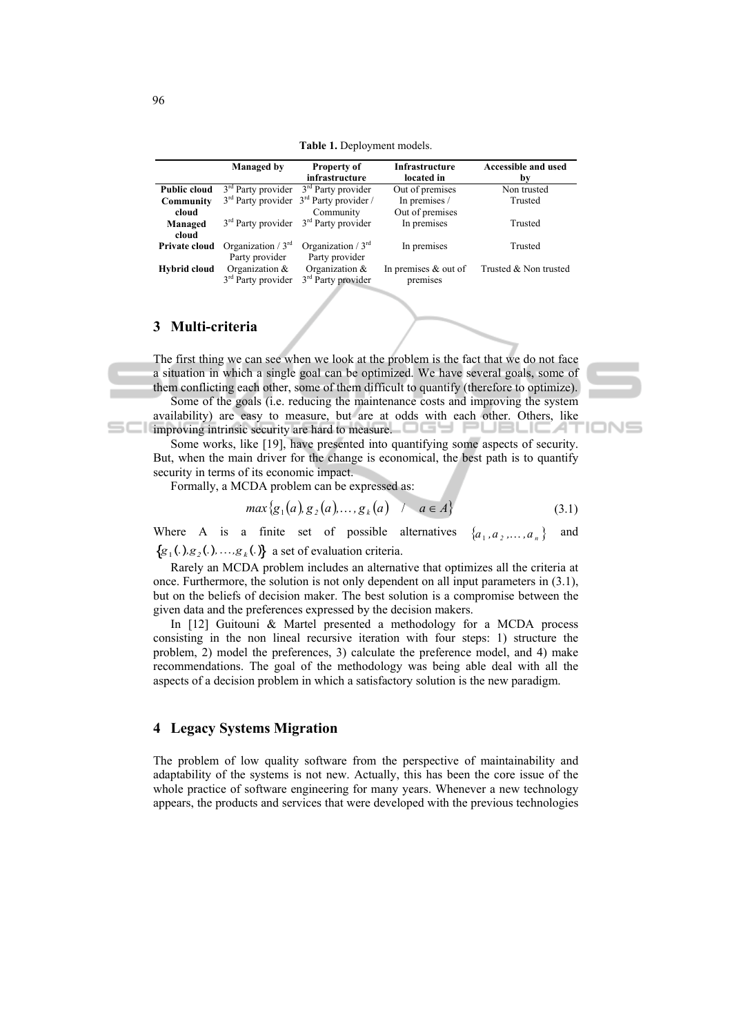**Table 1.** Deployment models.

|                     | <b>Managed</b> by                                                  | <b>Property of</b><br>infrastructure                               | <b>Infrastructure</b><br>located in | <b>Accessible and used</b><br>by |
|---------------------|--------------------------------------------------------------------|--------------------------------------------------------------------|-------------------------------------|----------------------------------|
| <b>Public cloud</b> |                                                                    | $3rd$ Party provider $3rd$ Party provider                          | Out of premises                     | Non trusted                      |
| Community           |                                                                    | $3rd$ Party provider $3rd$ Party provider /                        | In premises /                       | Trusted                          |
| cloud               |                                                                    | Community                                                          | Out of premises                     |                                  |
| Managed<br>cloud    | 3 <sup>rd</sup> Party provider                                     | 3 <sup>rd</sup> Party provider                                     | In premises                         | Trusted                          |
| Private cloud       | Organization / $3rd$                                               | Organization / $3rd$                                               | In premises                         | Trusted                          |
| Hybrid cloud        | Party provider<br>Organization &<br>3 <sup>rd</sup> Party provider | Party provider<br>Organization &<br>3 <sup>rd</sup> Party provider | In premises $&$ out of<br>premises  | Trusted & Non trusted            |

#### **3 Multi-criteria**

The first thing we can see when we look at the problem is the fact that we do not face a situation in which a single goal can be optimized. We have several goals, some of them conflicting each other, some of them difficult to quantify (therefore to optimize).

Some of the goals (i.e. reducing the maintenance costs and improving the system availability) are easy to measure, but are at odds with each other. Others, like **interest improving intrinsic security are hard to measure.** 'UBLIC.AT

Some works, like [19], have presented into quantifying some aspects of security. But, when the main driver for the change is economical, the best path is to quantify security in terms of its economic impact.

Formally, a MCDA problem can be expressed as:

$$
\max\{g_1(a), g_2(a), \dots, g_k(a) \quad / \quad a \in A\}
$$
 (3.1)

IONE

Where A is a finite set of possible alternatives  $\{a_1, a_2, \ldots, a_n\}$  and  $\{g_1(.)$ ,  $g_2(.)$ ,  $\ldots$ ,  $g_k(.)\}$  a set of evaluation criteria.

Rarely an MCDA problem includes an alternative that optimizes all the criteria at once. Furthermore, the solution is not only dependent on all input parameters in (3.1), but on the beliefs of decision maker. The best solution is a compromise between the given data and the preferences expressed by the decision makers.

In [12] Guitouni & Martel presented a methodology for a MCDA process consisting in the non lineal recursive iteration with four steps: 1) structure the problem, 2) model the preferences, 3) calculate the preference model, and 4) make recommendations. The goal of the methodology was being able deal with all the aspects of a decision problem in which a satisfactory solution is the new paradigm.

### **4 Legacy Systems Migration**

The problem of low quality software from the perspective of maintainability and adaptability of the systems is not new. Actually, this has been the core issue of the whole practice of software engineering for many years. Whenever a new technology appears, the products and services that were developed with the previous technologies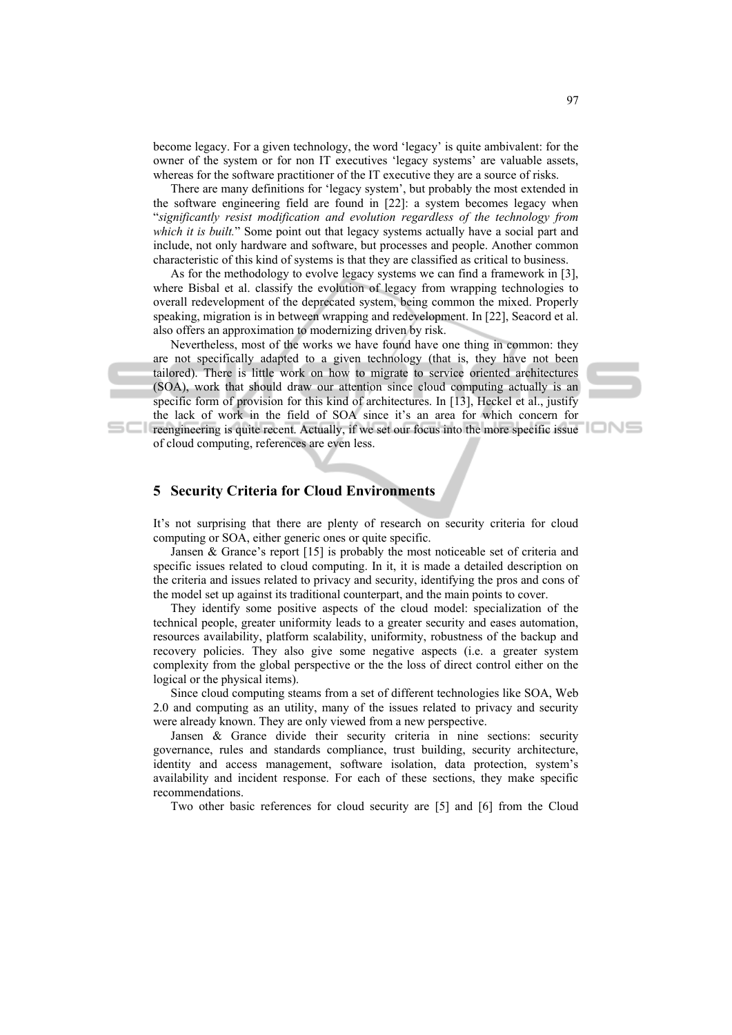become legacy. For a given technology, the word 'legacy' is quite ambivalent: for the owner of the system or for non IT executives 'legacy systems' are valuable assets, whereas for the software practitioner of the IT executive they are a source of risks.

There are many definitions for 'legacy system', but probably the most extended in the software engineering field are found in [22]: a system becomes legacy when "*significantly resist modification and evolution regardless of the technology from which it is built.*" Some point out that legacy systems actually have a social part and include, not only hardware and software, but processes and people. Another common characteristic of this kind of systems is that they are classified as critical to business.

As for the methodology to evolve legacy systems we can find a framework in [3], where Bisbal et al. classify the evolution of legacy from wrapping technologies to overall redevelopment of the deprecated system, being common the mixed. Properly speaking, migration is in between wrapping and redevelopment. In [22], Seacord et al. also offers an approximation to modernizing driven by risk.

Nevertheless, most of the works we have found have one thing in common: they are not specifically adapted to a given technology (that is, they have not been tailored). There is little work on how to migrate to service oriented architectures (SOA), work that should draw our attention since cloud computing actually is an specific form of provision for this kind of architectures. In [13], Heckel et al., justify the lack of work in the field of SOA since it's an area for which concern for

**reengineering is quite recent. Actually, if we set our focus into the more specific issue** of cloud computing, references are even less.

# **5 Security Criteria for Cloud Environments**

It's not surprising that there are plenty of research on security criteria for cloud computing or SOA, either generic ones or quite specific.

Jansen & Grance's report [15] is probably the most noticeable set of criteria and specific issues related to cloud computing. In it, it is made a detailed description on the criteria and issues related to privacy and security, identifying the pros and cons of the model set up against its traditional counterpart, and the main points to cover.

They identify some positive aspects of the cloud model: specialization of the technical people, greater uniformity leads to a greater security and eases automation, resources availability, platform scalability, uniformity, robustness of the backup and recovery policies. They also give some negative aspects (i.e. a greater system complexity from the global perspective or the the loss of direct control either on the logical or the physical items).

Since cloud computing steams from a set of different technologies like SOA, Web 2.0 and computing as an utility, many of the issues related to privacy and security were already known. They are only viewed from a new perspective.

Jansen & Grance divide their security criteria in nine sections: security governance, rules and standards compliance, trust building, security architecture, identity and access management, software isolation, data protection, system's availability and incident response. For each of these sections, they make specific recommendations.

Two other basic references for cloud security are [5] and [6] from the Cloud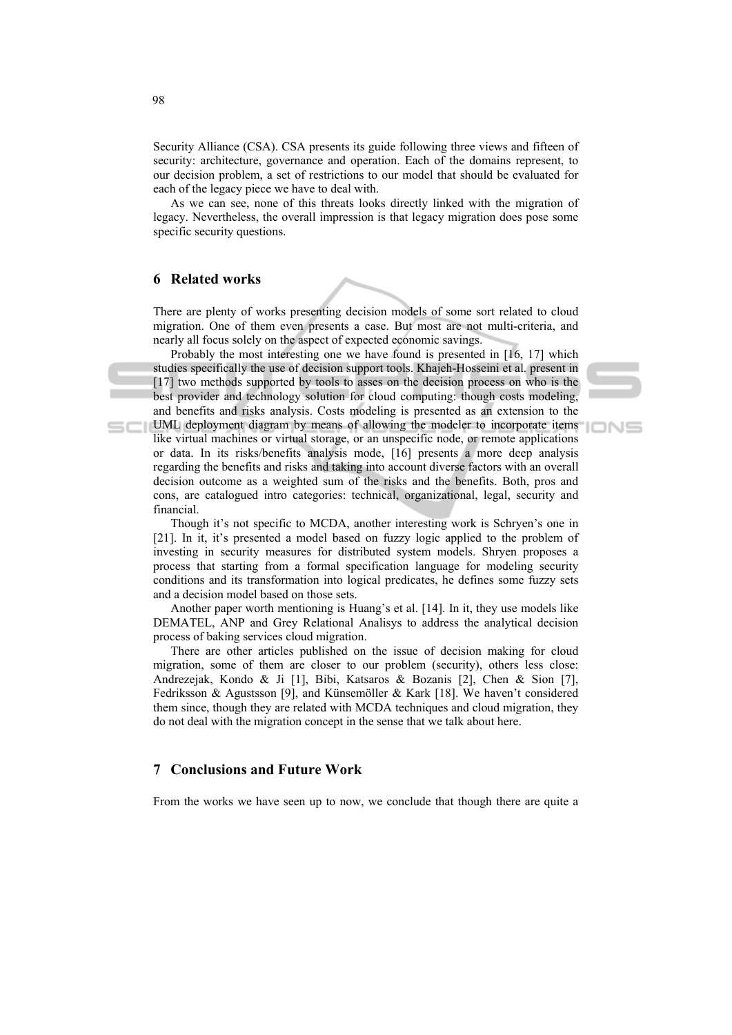Security Alliance (CSA). CSA presents its guide following three views and fifteen of security: architecture, governance and operation. Each of the domains represent, to our decision problem, a set of restrictions to our model that should be evaluated for each of the legacy piece we have to deal with.

As we can see, none of this threats looks directly linked with the migration of legacy. Nevertheless, the overall impression is that legacy migration does pose some specific security questions.

# **6 Related works**

There are plenty of works presenting decision models of some sort related to cloud migration. One of them even presents a case. But most are not multi-criteria, and nearly all focus solely on the aspect of expected economic savings.

Probably the most interesting one we have found is presented in [16, 17] which studies specifically the use of decision support tools. Khajeh-Hosseini et al. present in [17] two methods supported by tools to asses on the decision process on who is the best provider and technology solution for cloud computing: though costs modeling, and benefits and risks analysis. Costs modeling is presented as an extension to the

IONE

UML deployment diagram by means of allowing the modeler to incorporate items like virtual machines or virtual storage, or an unspecific node, or remote applications or data. In its risks/benefits analysis mode, [16] presents a more deep analysis regarding the benefits and risks and taking into account diverse factors with an overall decision outcome as a weighted sum of the risks and the benefits. Both, pros and cons, are catalogued intro categories: technical, organizational, legal, security and financial.

Though it's not specific to MCDA, another interesting work is Schryen's one in [21]. In it, it's presented a model based on fuzzy logic applied to the problem of investing in security measures for distributed system models. Shryen proposes a process that starting from a formal specification language for modeling security conditions and its transformation into logical predicates, he defines some fuzzy sets and a decision model based on those sets.

Another paper worth mentioning is Huang's et al. [14]. In it, they use models like DEMATEL, ANP and Grey Relational Analisys to address the analytical decision process of baking services cloud migration.

There are other articles published on the issue of decision making for cloud migration, some of them are closer to our problem (security), others less close: Andrezejak, Kondo & Ji [1], Bibi, Katsaros & Bozanis [2], Chen & Sion [7], Fedriksson & Agustsson [9], and Künsemöller & Kark [18]. We haven't considered them since, though they are related with MCDA techniques and cloud migration, they do not deal with the migration concept in the sense that we talk about here.

### **7 Conclusions and Future Work**

From the works we have seen up to now, we conclude that though there are quite a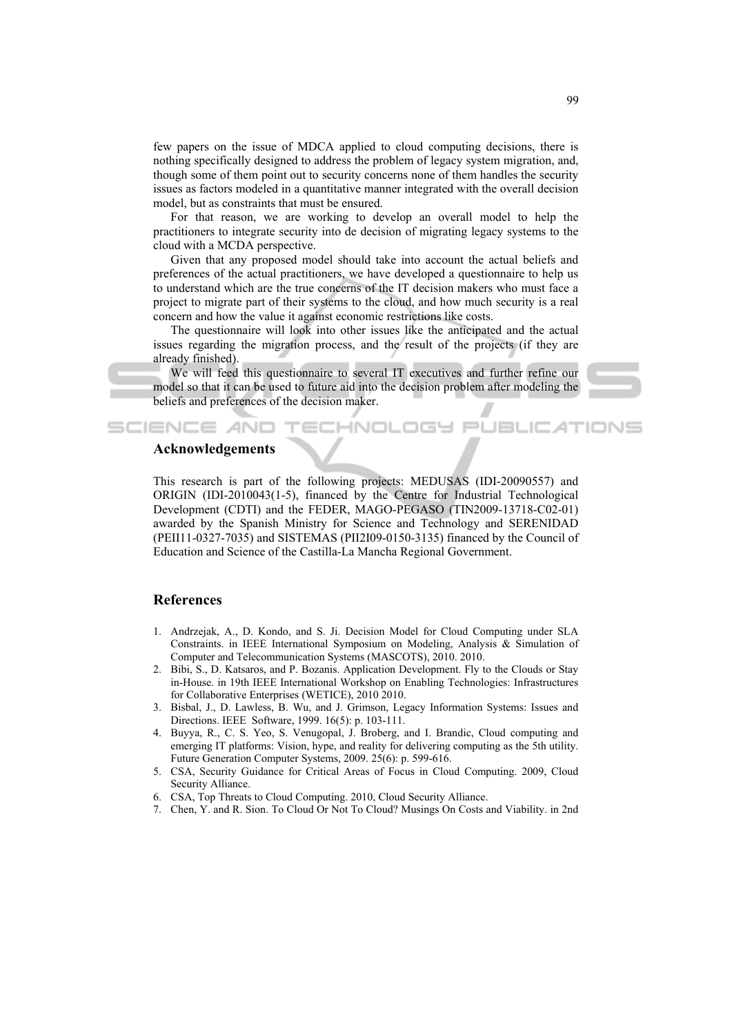few papers on the issue of MDCA applied to cloud computing decisions, there is nothing specifically designed to address the problem of legacy system migration, and, though some of them point out to security concerns none of them handles the security issues as factors modeled in a quantitative manner integrated with the overall decision model, but as constraints that must be ensured.

For that reason, we are working to develop an overall model to help the practitioners to integrate security into de decision of migrating legacy systems to the cloud with a MCDA perspective.

Given that any proposed model should take into account the actual beliefs and preferences of the actual practitioners, we have developed a questionnaire to help us to understand which are the true concerns of the IT decision makers who must face a project to migrate part of their systems to the cloud, and how much security is a real concern and how the value it against economic restrictions like costs.

The questionnaire will look into other issues like the anticipated and the actual issues regarding the migration process, and the result of the projects (if they are already finished).

We will feed this questionnaire to several IT executives and further refine our model so that it can be used to future aid into the decision problem after modeling the beliefs and preferences of the decision maker.

**ECHNOLOGY** 



JBLIC

### **Acknowledgements**

**SCIENCE AND** 

This research is part of the following projects: MEDUSAS (IDI-20090557) and ORIGIN (IDI-2010043(1-5), financed by the Centre for Industrial Technological Development (CDTI) and the FEDER, MAGO-PEGASO (TIN2009-13718-C02-01) awarded by the Spanish Ministry for Science and Technology and SERENIDAD (PEII11-0327-7035) and SISTEMAS (PII2I09-0150-3135) financed by the Council of Education and Science of the Castilla-La Mancha Regional Government.

# **References**

- 1. Andrzejak, A., D. Kondo, and S. Ji. Decision Model for Cloud Computing under SLA Constraints. in IEEE International Symposium on Modeling, Analysis & Simulation of Computer and Telecommunication Systems (MASCOTS), 2010. 2010.
- 2. Bibi, S., D. Katsaros, and P. Bozanis. Application Development. Fly to the Clouds or Stay in-House. in 19th IEEE International Workshop on Enabling Technologies: Infrastructures for Collaborative Enterprises (WETICE), 2010 2010.
- 3. Bisbal, J., D. Lawless, B. Wu, and J. Grimson, Legacy Information Systems: Issues and Directions. IEEE Software, 1999. 16(5): p. 103-111.
- 4. Buyya, R., C. S. Yeo, S. Venugopal, J. Broberg, and I. Brandic, Cloud computing and emerging IT platforms: Vision, hype, and reality for delivering computing as the 5th utility. Future Generation Computer Systems, 2009. 25(6): p. 599-616.
- 5. CSA, Security Guidance for Critical Areas of Focus in Cloud Computing. 2009, Cloud Security Alliance.
- 6. CSA, Top Threats to Cloud Computing. 2010, Cloud Security Alliance.
- 7. Chen, Y. and R. Sion. To Cloud Or Not To Cloud? Musings On Costs and Viability. in 2nd